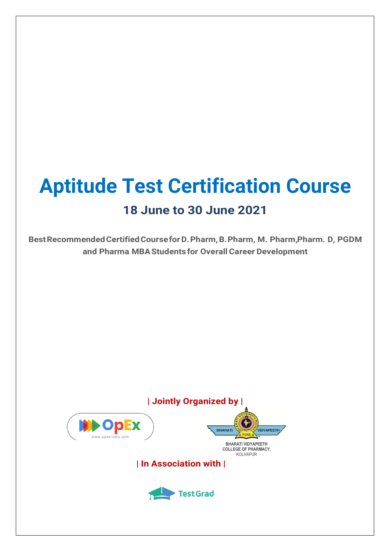## **Aptitude Test Certification Course 18 June to 30 June 2021**

**BestRecommendedCertifiedCourseforD.Pharm,B.Pharm, M. Pharm, Pharm. D, PGDM and Pharma MBAStudents for Overall Career Development**

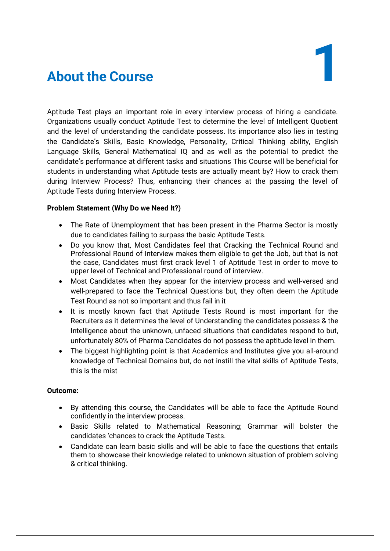# **About the Course 1**

Aptitude Test plays an important role in every interview process of hiring a candidate. Organizations usually conduct Aptitude Test to determine the level of Intelligent Quotient and the level of understanding the candidate possess. Its importance also lies in testing the Candidate's Skills, Basic Knowledge, Personality, Critical Thinking ability, English Language Skills, General Mathematical IQ and as well as the potential to predict the candidate's performance at different tasks and situations This Course will be beneficial for students in understanding what Aptitude tests are actually meant by? How to crack them during Interview Process? Thus, enhancing their chances at the passing the level of Aptitude Tests during Interview Process.

### **Problem Statement (Why Do we Need It?)**

- The Rate of Unemployment that has been present in the Pharma Sector is mostly due to candidates failing to surpass the basic Aptitude Tests.
- Do you know that, Most Candidates feel that Cracking the Technical Round and Professional Round of Interview makes them eligible to get the Job, but that is not the case, Candidates must first crack level 1 of Aptitude Test in order to move to upper level of Technical and Professional round of interview.
- Most Candidates when they appear for the interview process and well-versed and well-prepared to face the Technical Questions but, they often deem the Aptitude Test Round as not so important and thus fail in it
- It is mostly known fact that Aptitude Tests Round is most important for the Recruiters as it determines the level of Understanding the candidates possess & the Intelligence about the unknown, unfaced situations that candidates respond to but, unfortunately 80% of Pharma Candidates do not possess the aptitude level in them.
- The biggest highlighting point is that Academics and Institutes give you all-around knowledge of Technical Domains but, do not instill the vital skills of Aptitude Tests, this is the mist

### **Outcome:**

- By attending this course, the Candidates will be able to face the Aptitude Round confidently in the interview process.
- Basic Skills related to Mathematical Reasoning; Grammar will bolster the candidates 'chances to crack the Aptitude Tests.
- Candidate can learn basic skills and will be able to face the questions that entails them to showcase their knowledge related to unknown situation of problem solving & critical thinking.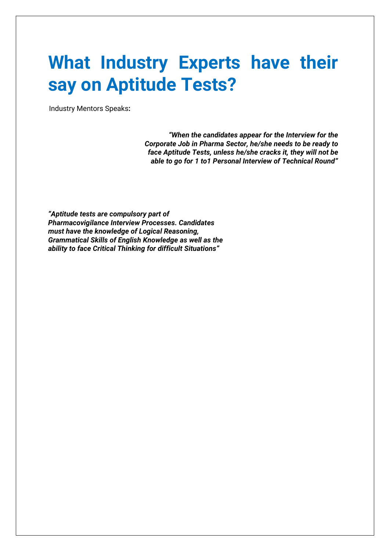### **What Industry Experts have their say on Aptitude Tests?**

Industry Mentors Speaks**:** 

*"When the candidates appear for the Interview for the Corporate Job in Pharma Sector, he/she needs to be ready to face Aptitude Tests, unless he/she cracks it, they will not be able to go for 1 to1 Personal Interview of Technical Round"*

*"Aptitude tests are compulsory part of Pharmacovigilance Interview Processes. Candidates must have the knowledge of Logical Reasoning, Grammatical Skills of English Knowledge as well as the ability to face Critical Thinking for difficult Situations"*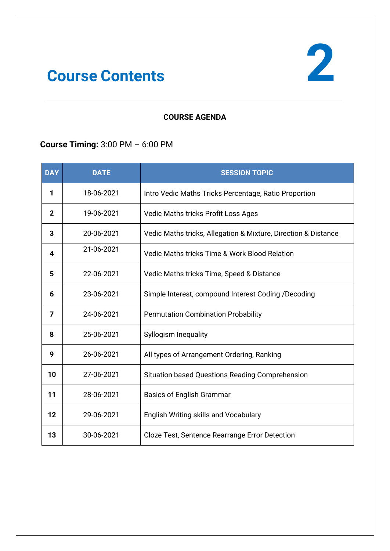## **Course Contents 2**



### **COURSE AGENDA**

### **Course Timing:** 3:00 PM – 6:00 PM

| <b>DAY</b>   | <b>DATE</b> | <b>SESSION TOPIC</b>                                           |
|--------------|-------------|----------------------------------------------------------------|
| 1            | 18-06-2021  | Intro Vedic Maths Tricks Percentage, Ratio Proportion          |
| $\mathbf{2}$ | 19-06-2021  | Vedic Maths tricks Profit Loss Ages                            |
| 3            | 20-06-2021  | Vedic Maths tricks, Allegation & Mixture, Direction & Distance |
| 4            | 21-06-2021  | Vedic Maths tricks Time & Work Blood Relation                  |
| 5            | 22-06-2021  | Vedic Maths tricks Time, Speed & Distance                      |
| 6            | 23-06-2021  | Simple Interest, compound Interest Coding / Decoding           |
| 7            | 24-06-2021  | <b>Permutation Combination Probability</b>                     |
| 8            | 25-06-2021  | <b>Syllogism Inequality</b>                                    |
| 9            | 26-06-2021  | All types of Arrangement Ordering, Ranking                     |
| 10           | 27-06-2021  | <b>Situation based Questions Reading Comprehension</b>         |
| 11           | 28-06-2021  | <b>Basics of English Grammar</b>                               |
| 12           | 29-06-2021  | <b>English Writing skills and Vocabulary</b>                   |
| 13           | 30-06-2021  | Cloze Test, Sentence Rearrange Error Detection                 |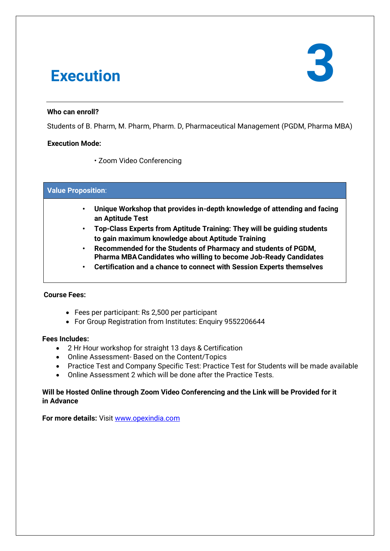# **Execution**

### **Who can enroll?**

Students of B. Pharm, M. Pharm, Pharm. D, Pharmaceutical Management (PGDM, Pharma MBA)

### **Execution Mode:**

• Zoom Video Conferencing

### **Value Proposition**:

- **Unique Workshop that provides in-depth knowledge of attending and facing an Aptitude Test**
- **Top-Class Experts from Aptitude Training: They will be guiding students to gain maximum knowledge about Aptitude Training**
- **Recommended for the Students of Pharmacy and students of PGDM, Pharma MBACandidates who willing to become Job-Ready Candidates**
- **Certification and a chance to connect with Session Experts themselves**

#### **Course Fees:**

- Fees per participant: Rs 2,500 per participant
- For Group Registration from Institutes: Enquiry 9552206644

#### **Fees Includes:**

- 2 Hr Hour workshop for straight 13 days & Certification
- Online Assessment- Based on the Content/Topics
- Practice Test and Company Specific Test: Practice Test for Students will be made available
- Online Assessment 2 which will be done after the Practice Tests.

### **Will be Hosted Online through Zoom Video Conferencing and the Link will be Provided for it in Advance**

**For more details:** Visit [www.opexindia.com](http://www.opexindia.com/)